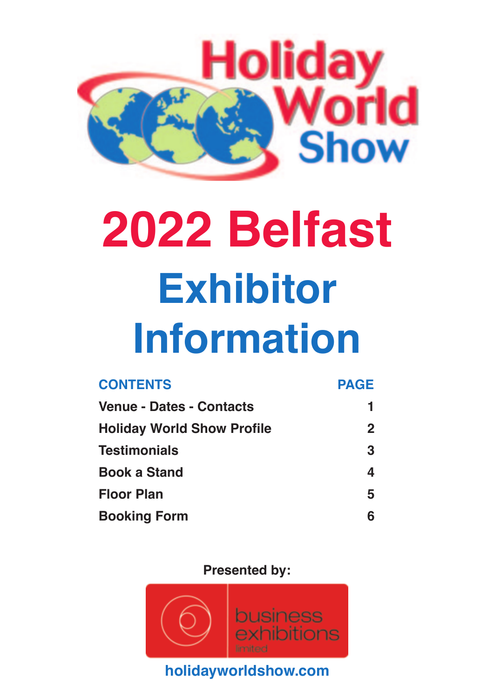

# **[2022 Belfast](http://www.holidayworldshow.com) Exhibitor Information**

| <b>CONTENTS</b>                   | <b>PAGE</b> |  |
|-----------------------------------|-------------|--|
| <b>Venue - Dates - Contacts</b>   | 1           |  |
| <b>Holiday World Show Profile</b> | $\mathbf 2$ |  |
| <b>Testimonials</b>               | 3           |  |
| <b>Book a Stand</b>               | 4           |  |
| <b>Floor Plan</b>                 | 5           |  |
| <b>Booking Form</b>               | 6           |  |

**Presented by:**

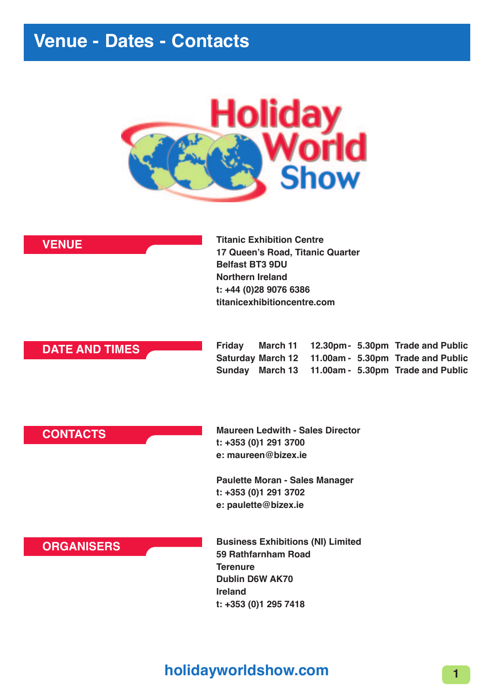#### **Venue - Dates - Contacts**



| <b>VENUE</b> |  |
|--------------|--|
|--------------|--|

**[Titanic Exhibition Centre](http://www.holidayworldshow.com)  17 Queen's Road, Titanic Quarter Belfast BT3 9DU Northern Ireland t: +44 (0)28 9076 6386 titanicexhibitioncentre.com**

#### **DATE AND TIMES**

**Friday March 11 12.30pm- 5.30pm Trade and Public Saturday March 12 11.00am - 5.30pm Trade and Public Sunday March 13 11.00am - 5.30pm Trade and Public**

#### **CONTACTS**

**Maureen Ledwith - Sales Director t: +353 (0)1 291 3700 e: maureen@bizex.ie** 

**Paulette Moran - Sales Manager t: +353 (0)1 291 3702 e: paulette@bizex.ie**

#### **ORGANISERS**

**Business Exhibitions (NI) Limited 59 Rathfarnham Road Terenure Dublin D6W AK70 Ireland t: +353 (0)1 295 7418**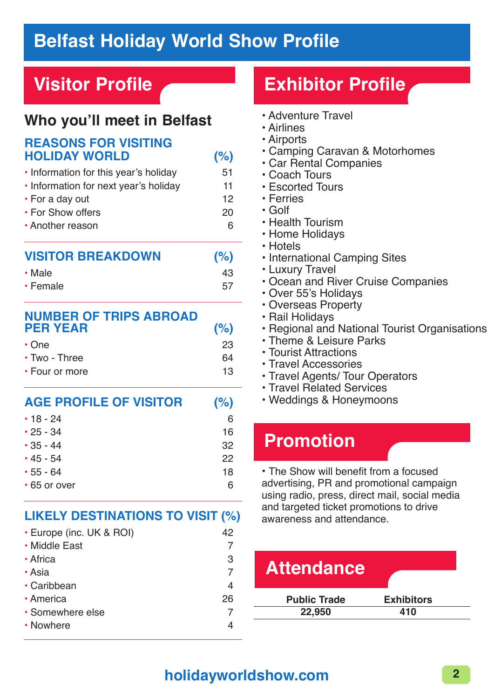#### **Belfast Holiday World Show Profile**

## **Visitor Profile**

## **Who you'll meet in Belfast**

#### **REASONS FOR VISITING HOLIDAY WORLD (%)**

| ิค |
|----|
| 20 |
| 12 |
| 11 |
| 51 |
|    |

| • Male   | 43 |
|----------|----|
| • Female | 57 |

| <b>NUMBER OF TRIPS ABROAD</b><br><b>PER YEAR</b> | (% ) |
|--------------------------------------------------|------|
| $\cdot$ One                                      | 23   |
| $\cdot$ Two - Three                              | 64   |
| • Four or more                                   | 13   |

| <b>AGE PROFILE OF VISITOR</b> | (%) |
|-------------------------------|-----|
| $\cdot$ 18 - 24               | 6   |
| $\cdot$ 25 - 34               | 16  |
| $\cdot$ 35 - 44               | 32  |
| $\cdot$ 45 - 54               | 22  |
| $\cdot$ 55 - 64               | 18  |
| • 65 or over                  |     |

#### **LIKELY DESTINATIONS TO VISIT (%)**

| • Europe (inc. UK & ROI) | 42 |
|--------------------------|----|
| • Middle East            |    |
| • Africa                 | З  |
| • Asia                   |    |
| • Caribbean              | 4  |
| • America                | 26 |
| • Somewhere else         |    |
| • Nowhere                |    |

## **Exhibitor Profile**

- Adventure Travel
- Airlines
- Airports
- Camping Caravan & Motorhomes
- Car Rental Companies
- Coach Tours
- Escorted Tours
- Ferries
- Golf
- Health Tourism
- Home Holidays
- Hotels
- International Camping Sites
- Luxury Travel
- Ocean and River Cruise Companies
- Over 55's Holidays
- Overseas Property
- Rail Holidays
- Regional and National Tourist Organisations
- Theme & Leisure Parks
- Tourist Attractions
- Travel Accessories
- Travel Agents/ Tour Operators
- Travel Related Services
- Weddings & Honeymoons

## **Promotion**

• The Show will benefit from a focused advertising, PR and promotional campaign using radio, press, direct mail, social media and targeted ticket promotions to drive awareness and attendance.

| <b>Exhibitors</b> |
|-------------------|
| 410               |
|                   |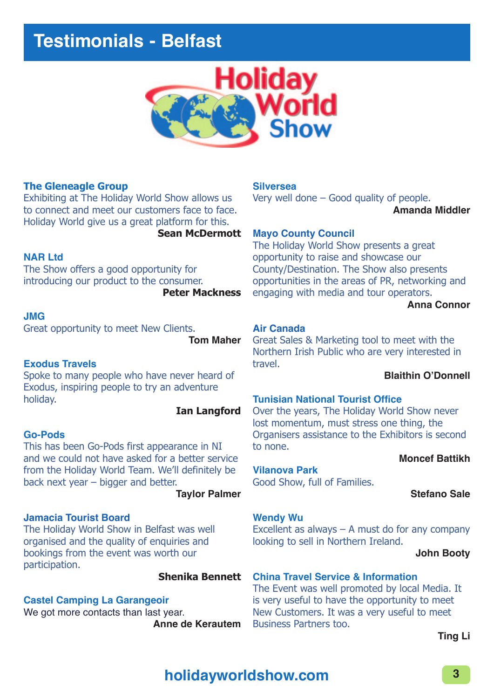

#### **The Gleneagle Group**

Exhibiting at The Holiday World Show allows us to connect and meet our customers face to face. Holiday World give us a great platform for this.

**Sean McDermott** 

#### **NAR Ltd**

The Show offers a good opportunity for introducing our product to the consumer.

**Peter Mackness** 

#### **JMG**

Great opportunity to meet New Clients.

**Tom Maher** 

#### **Exodus Travels**

Spoke to many people who have never heard of Exodus, inspiring people to try an adventure holiday.

#### **Ian Langford**

#### **Go-Pods**

This has been Go-Pods first appearance in NI and we could not have asked for a better service from the Holiday World Team. We'll definitely be back next year – bigger and better.

#### **Taylor Palmer**

#### **Jamacia Tourist Board**

The Holiday World Show in Belfast was well organised and the quality of enquiries and bookings from the event was worth our participation.

#### **Shenika Bennett**

#### **Castel Camping La Garangeoir**

We got more contacts than last year. **Anne de Kerautem** 

#### **Silversea**

Very well done – Good quality of people. **Amanda Middler** 

#### **Mayo County Council**

The Holiday World Show presents a great opportunity to raise and showcase our County/Destination. The Show also presents opportunities in the areas of PR, networking and engaging with media and tour operators.

**Anna Connor** 

#### **Air Canada**

Great Sales & Marketing tool to meet with the Northern Irish Public who are very interested in travel.

**Blaithin O'Donnell** 

#### **Tunisian National Tourist Office**

Over the years, The Holiday World Show never lost momentum, must stress one thing, the Organisers assistance to the Exhibitors is second to none.

#### **Moncef Battikh**

Good Show, full of Families.

**Stefano Sale** 

#### **Wendy Wu**

**Vilanova Park** 

Excellent as always  $-$  A must do for any company looking to sell in Northern Ireland.

**John Booty** 

#### **China Travel Service & Information**

The Event was well promoted by local Media. It is very useful to have the opportunity to meet New Customers. It was a very useful to meet Business Partners too.

**Ting Li**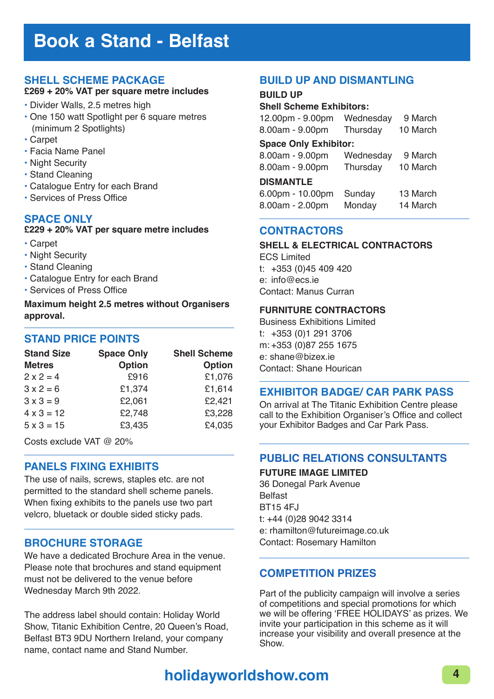#### **Book a Stand - Belfast**

#### **SHELL SCHEME PACKAGE**

#### **£269 + 20% VAT per square metre includes**

- Divider Walls, 2.5 metres high
- One 150 watt Spotlight per 6 square metres (minimum 2 Spotlights)
- Carpet
- Facia Name Panel
- Night Security
- Stand Cleaning
- Catalogue Entry for each Brand
- Services of Press Office

#### **SPACE ONLY**

#### **£229 + 20% VAT per square metre includes**

- Carpet
- Night Security
- Stand Cleaning
- Catalogue Entry for each Brand
- Services of Press Office

**Maximum height 2.5 metres without Organisers approval.** 

#### **STAND PRICE POINTS**

| <b>Stand Size</b> | <b>Space Only</b> | <b>Shell Scheme</b> |
|-------------------|-------------------|---------------------|
| <b>Metres</b>     | <b>Option</b>     | <b>Option</b>       |
| $2 \times 2 = 4$  | £916              | £1,076              |
| $3x^2 = 6$        | £1,374            | £1,614              |
| $3 \times 3 = 9$  | £2,061            | £2,421              |
| $4 \times 3 = 12$ | £2,748            | £3,228              |
| $5 \times 3 = 15$ | £3,435            | £4,035              |

Costs exclude VAT @ 20%

#### **PANELS FIXING EXHIBITS**

The use of nails, screws, staples etc. are not permitted to the standard shell scheme panels. When fixing exhibits to the panels use two part velcro, bluetack or double sided sticky pads.

#### **BROCHURE STORAGE**

We have a dedicated Brochure Area in the venue. Please note that brochures and stand equipment must not be delivered to the venue before Wednesday March 9th 2022.

The address label should contain: Holiday World Show, Titanic Exhibition Centre, 20 Queen's Road, Belfast BT3 9DU Northern Ireland, your company name, contact name and Stand Number.

#### **BUILD UP AND DISMANTLING**

#### **BUILD UP**

#### **Shell Scheme Exhibitors:**

| 12.00pm - 9.00pm             | Wednesday | 9 March  |  |  |  |  |  |
|------------------------------|-----------|----------|--|--|--|--|--|
| 8.00am - 9.00pm              | Thursday  | 10 March |  |  |  |  |  |
| <b>Space Only Exhibitor:</b> |           |          |  |  |  |  |  |
| 8.00am - 9.00pm              | Wednesday | 9 March  |  |  |  |  |  |
| 8.00am - 9.00pm              | Thursday  | 10 March |  |  |  |  |  |
| <b>DISMANTLE</b>             |           |          |  |  |  |  |  |
| 6.00pm - 10.00pm             | Sunday    | 13 March |  |  |  |  |  |
| 8.00am - 2.00pm              | Monday    | 14 March |  |  |  |  |  |
|                              |           |          |  |  |  |  |  |

#### **CONTRACTORS**

#### **SHELL & ELECTRICAL CONTRACTORS**

ECS Limited t: +353 (0)45 409 420 e: info@ecs.ie Contact: Manus Curran

#### **FURNITURE CONTRACTORS**

Business Exhibitions Limited t: +353 (0)1 291 3706 m: +353 (0)87 255 1675 e: shane@bizex.ie Contact: Shane Hourican

#### **EXHIBITOR BADGE/ CAR PARK PASS**

On arrival at The Titanic Exhibition Centre please call to the Exhibition Organiser's Office and collect your Exhibitor Badges and Car Park Pass.

#### **PUBLIC RELATIONS CONSULTANTS**

**FUTURE IMAGE LIMITED** 36 Donegal Park Avenue

Belfast BT15 4FJ t: +44 (0)28 9042 3314 e: rhamilton@futureimage.co.uk Contact: Rosemary Hamilton

#### **COMPETITION PRIZES**

Part of the publicity campaign will involve a series of competitions and special promotions for which we will be offering 'FREE HOLIDAYS' as prizes. We invite your participation in this scheme as it will increase your visibility and overall presence at the Show.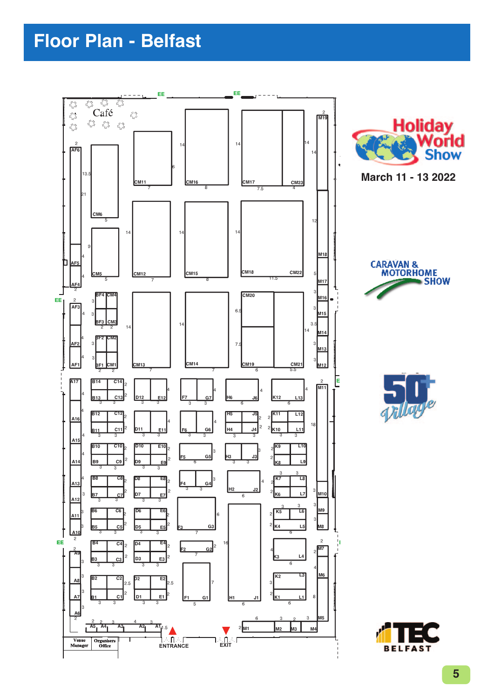## **Floor Plan - Belfast**